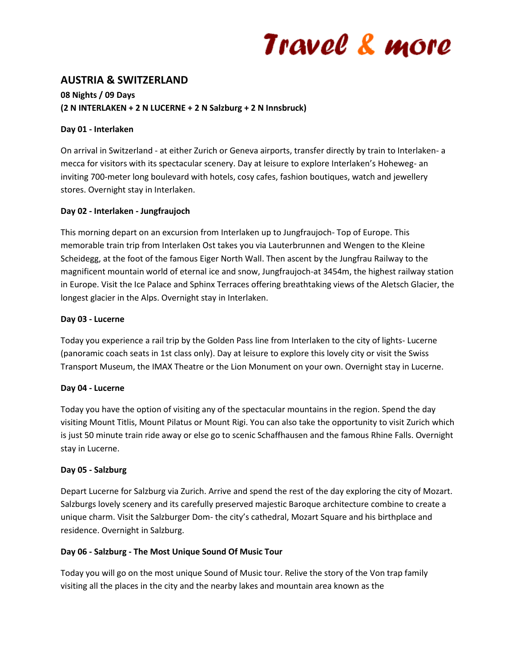## Travel & more

## **AUSTRIA & SWITZERLAND**

### **08 Nights / 09 Days (2 N INTERLAKEN + 2 N LUCERNE + 2 N Salzburg + 2 N Innsbruck)**

#### **Day 01 - Interlaken**

On arrival in Switzerland - at either Zurich or Geneva airports, transfer directly by train to Interlaken- a mecca for visitors with its spectacular scenery. Day at leisure to explore Interlaken's Hoheweg- an inviting 700-meter long boulevard with hotels, cosy cafes, fashion boutiques, watch and jewellery stores. Overnight stay in Interlaken.

#### **Day 02 - Interlaken - Jungfraujoch**

This morning depart on an excursion from Interlaken up to Jungfraujoch- Top of Europe. This memorable train trip from Interlaken Ost takes you via Lauterbrunnen and Wengen to the Kleine Scheidegg, at the foot of the famous Eiger North Wall. Then ascent by the Jungfrau Railway to the magnificent mountain world of eternal ice and snow, Jungfraujoch-at 3454m, the highest railway station in Europe. Visit the Ice Palace and Sphinx Terraces offering breathtaking views of the Aletsch Glacier, the longest glacier in the Alps. Overnight stay in Interlaken.

#### **Day 03 - Lucerne**

Today you experience a rail trip by the Golden Pass line from Interlaken to the city of lights- Lucerne (panoramic coach seats in 1st class only). Day at leisure to explore this lovely city or visit the Swiss Transport Museum, the IMAX Theatre or the Lion Monument on your own. Overnight stay in Lucerne.

#### **Day 04 - Lucerne**

Today you have the option of visiting any of the spectacular mountains in the region. Spend the day visiting Mount Titlis, Mount Pilatus or Mount Rigi. You can also take the opportunity to visit Zurich which is just 50 minute train ride away or else go to scenic Schaffhausen and the famous Rhine Falls. Overnight stay in Lucerne.

#### **Day 05 - Salzburg**

Depart Lucerne for Salzburg via Zurich. Arrive and spend the rest of the day exploring the city of Mozart. Salzburgs lovely scenery and its carefully preserved majestic Baroque architecture combine to create a unique charm. Visit the Salzburger Dom- the city's cathedral, Mozart Square and his birthplace and residence. Overnight in Salzburg.

#### **Day 06 - Salzburg - The Most Unique Sound Of Music Tour**

Today you will go on the most unique Sound of Music tour. Relive the story of the Von trap family visiting all the places in the city and the nearby lakes and mountain area known as the